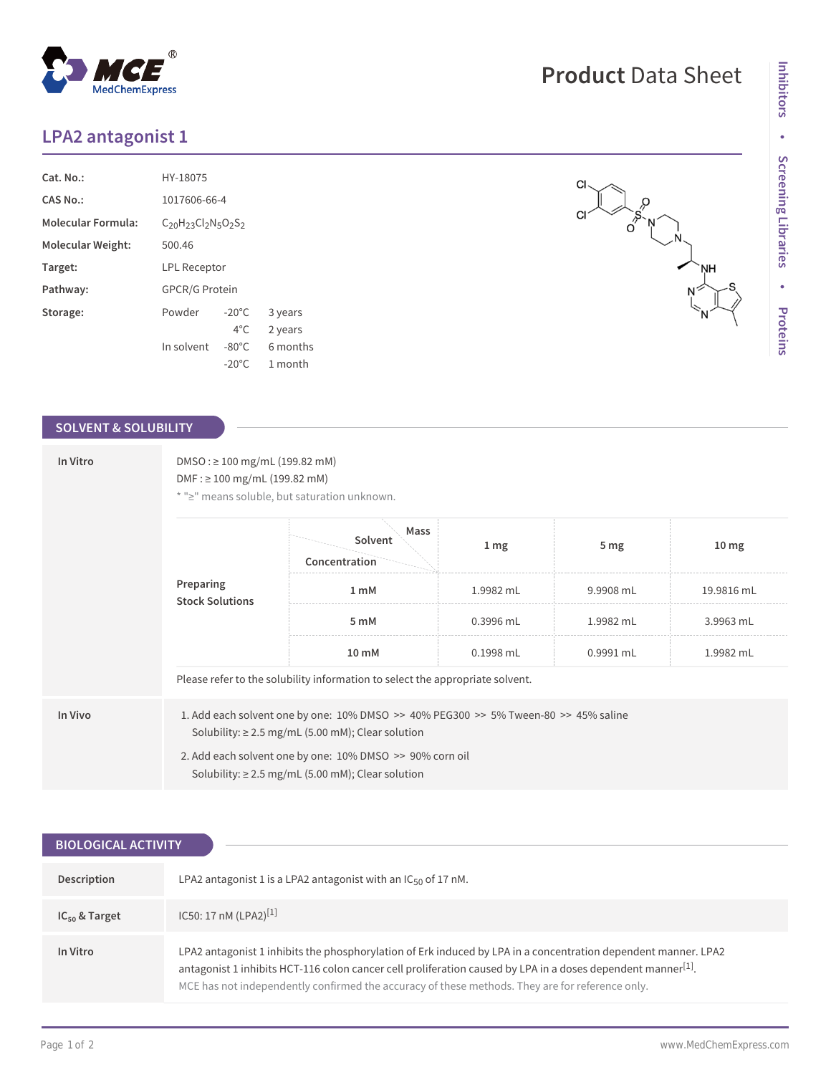## **LPA2 antagonist 1**

MedChemExpress

| Cat. No.           | HY-18075                            |                 |          |  |  |
|--------------------|-------------------------------------|-----------------|----------|--|--|
| CAS No.:           | 1017606-66-4                        |                 |          |  |  |
| Molecular Formula: | $C_{20}H_{23}Cl_{2}N_{5}O_{2}S_{2}$ |                 |          |  |  |
| Molecular Weight:  | 500.46                              |                 |          |  |  |
| Target:            | <b>LPL Receptor</b>                 |                 |          |  |  |
| Pathway:           | <b>GPCR/G Protein</b>               |                 |          |  |  |
| Storage:           | Powder                              | $-20^{\circ}$ C | 3 years  |  |  |
|                    |                                     | $4^{\circ}$ C   | 2 years  |  |  |
|                    | In solvent                          | $-80^{\circ}$ C | 6 months |  |  |
|                    |                                     | $-20^{\circ}$ C | 1 month  |  |  |

 $^{\circledR}$ 

### **SOLVENT & SOLUBILITY**

| In Vitro | $DMSO: \geq 100$ mg/mL (199.82 mM)<br>$DMF: \geq 100$ mg/mL (199.82 mM)<br>* ">" means soluble, but saturation unknown.                                                                                                                                                            |                                                                               |                  |                 |                  |  |
|----------|------------------------------------------------------------------------------------------------------------------------------------------------------------------------------------------------------------------------------------------------------------------------------------|-------------------------------------------------------------------------------|------------------|-----------------|------------------|--|
|          | Preparing<br><b>Stock Solutions</b>                                                                                                                                                                                                                                                | Mass<br>Solvent<br>Concentration                                              | $1 \, \text{mg}$ | 5 <sub>mg</sub> | 10 <sub>mg</sub> |  |
|          |                                                                                                                                                                                                                                                                                    | 1 <sub>m</sub> M                                                              | 1.9982 mL        | 9.9908 mL       | 19.9816 mL       |  |
|          |                                                                                                                                                                                                                                                                                    | 5 mM                                                                          | $0.3996$ mL      | 1.9982 mL       | 3.9963 mL        |  |
|          | 10 mM                                                                                                                                                                                                                                                                              | 0.1998 mL                                                                     | 0.9991 mL        | 1.9982 mL       |                  |  |
|          |                                                                                                                                                                                                                                                                                    | Please refer to the solubility information to select the appropriate solvent. |                  |                 |                  |  |
| In Vivo  | 1. Add each solvent one by one: $10\%$ DMSO $\geq$ 40% PEG300 $\geq$ 5% Tween-80 $\geq$ 45% saline<br>Solubility: $\geq$ 2.5 mg/mL (5.00 mM); Clear solution<br>2. Add each solvent one by one: 10% DMSO >> 90% corn oil<br>Solubility: $\geq$ 2.5 mg/mL (5.00 mM); Clear solution |                                                                               |                  |                 |                  |  |

| <b>BIOLOGICAL ACTIVITY</b> |                                                                                                                                                                                                                                                                                                                                               |  |  |  |
|----------------------------|-----------------------------------------------------------------------------------------------------------------------------------------------------------------------------------------------------------------------------------------------------------------------------------------------------------------------------------------------|--|--|--|
| Description                | LPA2 antagonist 1 is a LPA2 antagonist with an $IC_{50}$ of 17 nM.                                                                                                                                                                                                                                                                            |  |  |  |
| $IC_{50}$ & Target         | IC50: 17 nM (LPA2) <sup>[1]</sup>                                                                                                                                                                                                                                                                                                             |  |  |  |
| In Vitro                   | LPA2 antagonist 1 inhibits the phosphorylation of Erk induced by LPA in a concentration dependent manner. LPA2<br>antagonist 1 inhibits HCT-116 colon cancer cell proliferation caused by LPA in a doses dependent manner <sup>[1]</sup> .<br>MCE has not independently confirmed the accuracy of these methods. They are for reference only. |  |  |  |

# **Product** Data Sheet

 $\left( \begin{matrix} 1 & 1 \\ 0 & 1 \end{matrix} \right)$ 

`NH<br>|

 $\mathsf{C}\mathsf{I}$ 

 $CI$